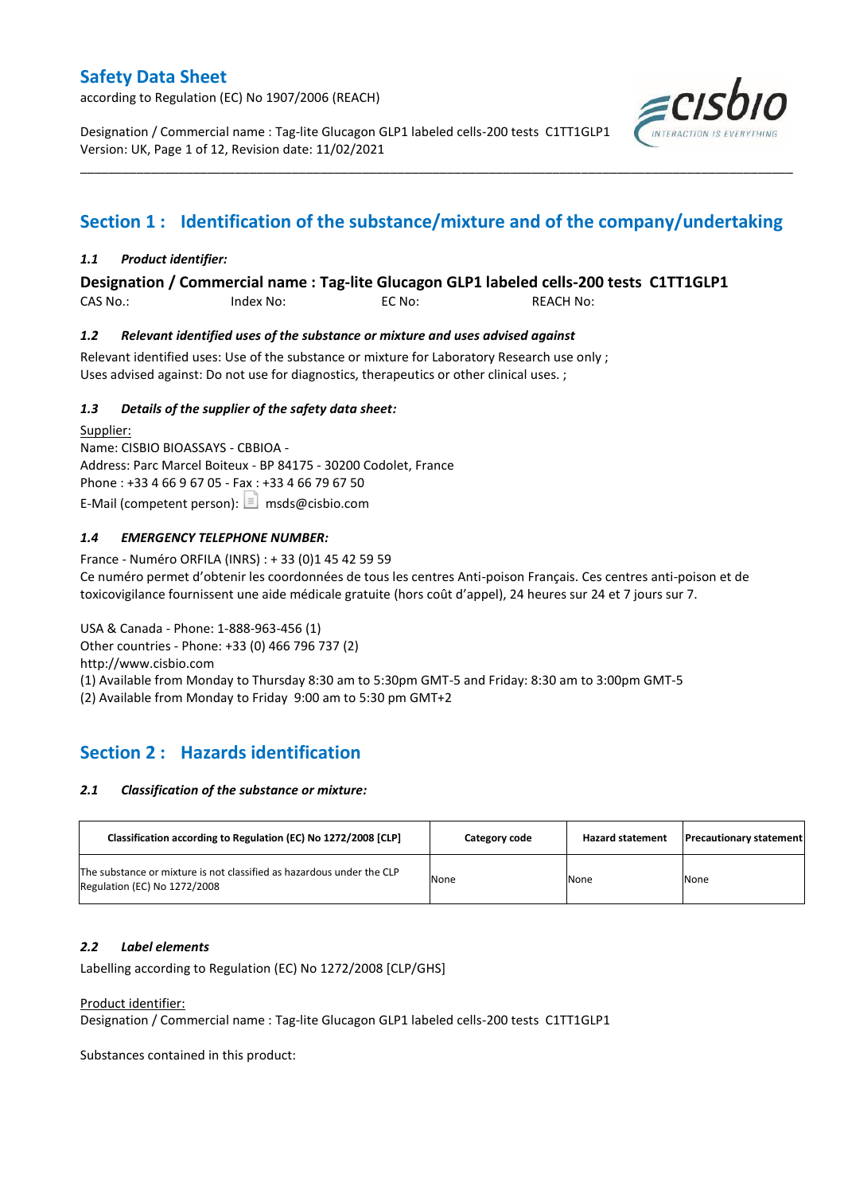according to Regulation (EC) No 1907/2006 (REACH)

Designation / Commercial name : Tag-lite Glucagon GLP1 labeled cells-200 tests C1TT1GLP1 Version: UK, Page 1 of 12, Revision date: 11/02/2021



# **Section 1 : Identification of the substance/mixture and of the company/undertaking**

\_\_\_\_\_\_\_\_\_\_\_\_\_\_\_\_\_\_\_\_\_\_\_\_\_\_\_\_\_\_\_\_\_\_\_\_\_\_\_\_\_\_\_\_\_\_\_\_\_\_\_\_\_\_\_\_\_\_\_\_\_\_\_\_\_\_\_\_\_\_\_\_\_\_\_\_\_\_\_\_\_\_\_\_\_\_\_\_\_\_\_\_\_\_\_\_\_\_\_\_\_

### *1.1 Product identifier:*

**Designation / Commercial name : Tag-lite Glucagon GLP1 labeled cells-200 tests C1TT1GLP1** 

CAS No.: Index No: EC No: REACH No:

### *1.2 Relevant identified uses of the substance or mixture and uses advised against*

Relevant identified uses: Use of the substance or mixture for Laboratory Research use only ; Uses advised against: Do not use for diagnostics, therapeutics or other clinical uses. ;

### *1.3 Details of the supplier of the safety data sheet:*

Supplier: Name: CISBIO BIOASSAYS - CBBIOA - Address: Parc Marcel Boiteux - BP 84175 - 30200 Codolet, France Phone : +33 4 66 9 67 05 - Fax : +33 4 66 79 67 50 E-Mail (competent person):  $\boxed{\equiv}$  msds@cisbio.com

### *1.4 EMERGENCY TELEPHONE NUMBER:*

France - Numéro ORFILA (INRS) : + 33 (0)1 45 42 59 59 Ce numéro permet d'obtenir les coordonnées de tous les centres Anti-poison Français. Ces centres anti-poison et de toxicovigilance fournissent une aide médicale gratuite (hors coût d'appel), 24 heures sur 24 et 7 jours sur 7.

USA & Canada - Phone: 1-888-963-456 (1) Other countries - Phone: +33 (0) 466 796 737 (2) http://www.cisbio.com (1) Available from Monday to Thursday 8:30 am to 5:30pm GMT-5 and Friday: 8:30 am to 3:00pm GMT-5 (2) Available from Monday to Friday 9:00 am to 5:30 pm GMT+2

## **Section 2 : Hazards identification**

#### *2.1 Classification of the substance or mixture:*

| Classification according to Regulation (EC) No 1272/2008 [CLP]                                        | Category code | <b>Hazard statement</b> | <b>Precautionary statement</b> |
|-------------------------------------------------------------------------------------------------------|---------------|-------------------------|--------------------------------|
| The substance or mixture is not classified as hazardous under the CLP<br>Regulation (EC) No 1272/2008 | None          | None                    | None                           |

#### *2.2 Label elements*

Labelling according to Regulation (EC) No 1272/2008 [CLP/GHS]

#### Product identifier:

Designation / Commercial name : Tag-lite Glucagon GLP1 labeled cells-200 tests C1TT1GLP1

Substances contained in this product: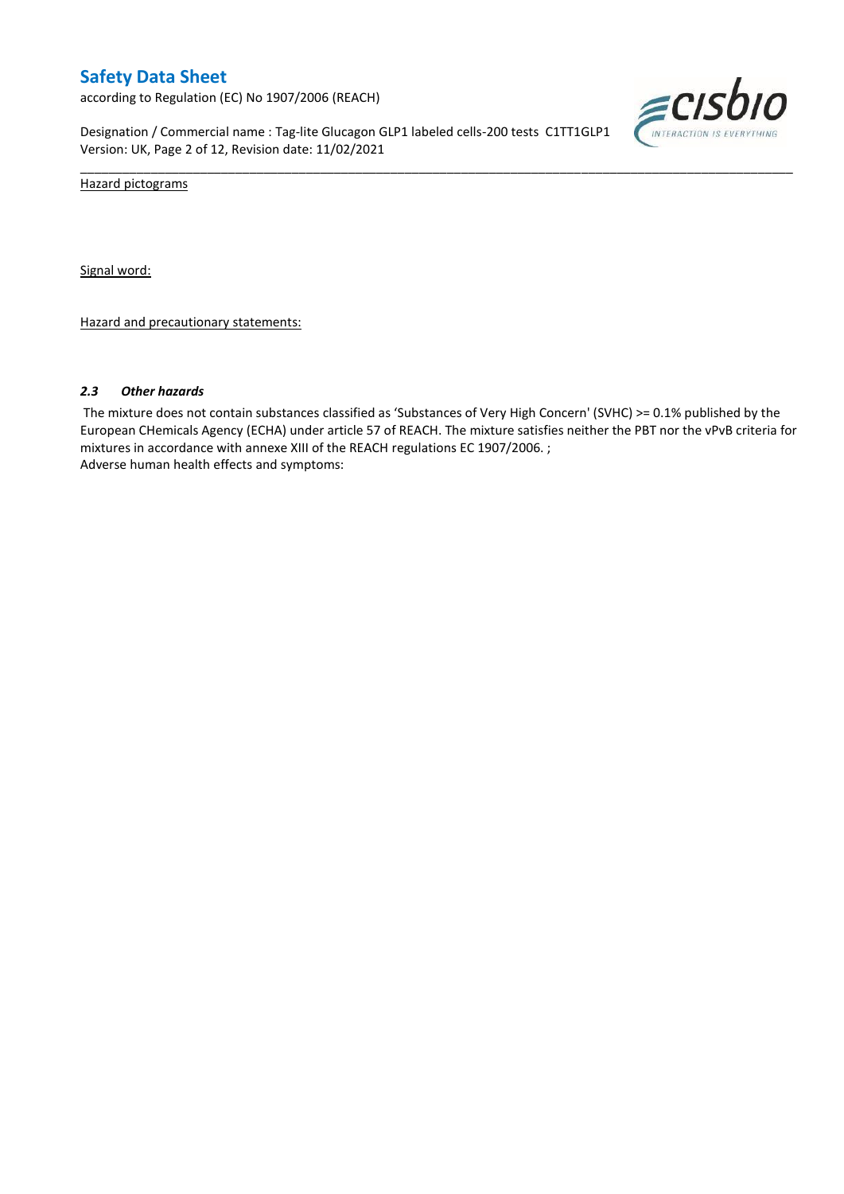according to Regulation (EC) No 1907/2006 (REACH)

Designation / Commercial name : Tag-lite Glucagon GLP1 labeled cells-200 tests C1TT1GLP1 Version: UK, Page 2 of 12, Revision date: 11/02/2021



Hazard pictograms

Signal word:

Hazard and precautionary statements:

#### *2.3 Other hazards*

The mixture does not contain substances classified as 'Substances of Very High Concern' (SVHC) >= 0.1% published by the European CHemicals Agency (ECHA) under article 57 of REACH. The mixture satisfies neither the PBT nor the vPvB criteria for mixtures in accordance with annexe XIII of the REACH regulations EC 1907/2006. ; Adverse human health effects and symptoms:

\_\_\_\_\_\_\_\_\_\_\_\_\_\_\_\_\_\_\_\_\_\_\_\_\_\_\_\_\_\_\_\_\_\_\_\_\_\_\_\_\_\_\_\_\_\_\_\_\_\_\_\_\_\_\_\_\_\_\_\_\_\_\_\_\_\_\_\_\_\_\_\_\_\_\_\_\_\_\_\_\_\_\_\_\_\_\_\_\_\_\_\_\_\_\_\_\_\_\_\_\_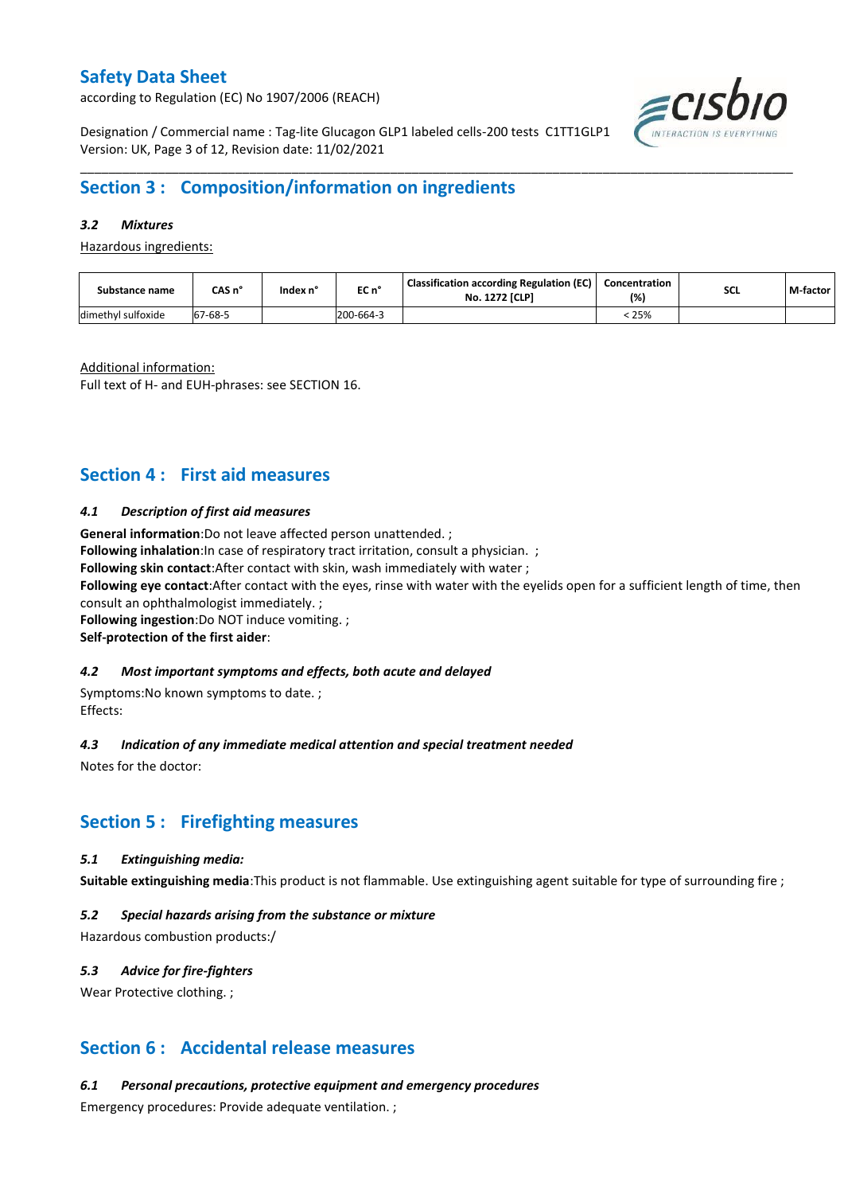according to Regulation (EC) No 1907/2006 (REACH)



Designation / Commercial name : Tag-lite Glucagon GLP1 labeled cells-200 tests C1TT1GLP1 Version: UK, Page 3 of 12, Revision date: 11/02/2021

## **Section 3 : Composition/information on ingredients**

### *3.2 Mixtures*

Hazardous ingredients:

| Substance name     | CAS n°             | Index n' | EC n°     | <b>Classification according Regulation (EC)</b><br><b>No. 1272 [CLP]</b> | Concentration<br>(%) | <b>SCL</b> | M-factor |
|--------------------|--------------------|----------|-----------|--------------------------------------------------------------------------|----------------------|------------|----------|
| dimethyl sulfoxide | $7 - 68 - 5$<br>67 |          | 200-664-3 |                                                                          | 25%                  |            |          |

\_\_\_\_\_\_\_\_\_\_\_\_\_\_\_\_\_\_\_\_\_\_\_\_\_\_\_\_\_\_\_\_\_\_\_\_\_\_\_\_\_\_\_\_\_\_\_\_\_\_\_\_\_\_\_\_\_\_\_\_\_\_\_\_\_\_\_\_\_\_\_\_\_\_\_\_\_\_\_\_\_\_\_\_\_\_\_\_\_\_\_\_\_\_\_\_\_\_\_\_\_

Additional information:

Full text of H- and EUH-phrases: see SECTION 16.

## **Section 4 : First aid measures**

#### *4.1 Description of first aid measures*

**General information**:Do not leave affected person unattended. ;

**Following inhalation**: In case of respiratory tract irritation, consult a physician. ;

**Following skin contact**:After contact with skin, wash immediately with water ;

**Following eye contact**:After contact with the eyes, rinse with water with the eyelids open for a sufficient length of time, then consult an ophthalmologist immediately. ;

**Following ingestion**:Do NOT induce vomiting. ;

#### **Self-protection of the first aider**:

#### *4.2 Most important symptoms and effects, both acute and delayed*

Symptoms:No known symptoms to date. ; Effects:

#### *4.3 Indication of any immediate medical attention and special treatment needed*

Notes for the doctor:

### **Section 5 : Firefighting measures**

#### *5.1 Extinguishing media:*

**Suitable extinguishing media**:This product is not flammable. Use extinguishing agent suitable for type of surrounding fire ;

#### *5.2 Special hazards arising from the substance or mixture*

Hazardous combustion products:/

#### *5.3 Advice for fire-fighters*

Wear Protective clothing.;

### **Section 6 : Accidental release measures**

*6.1 Personal precautions, protective equipment and emergency procedures*

Emergency procedures: Provide adequate ventilation. ;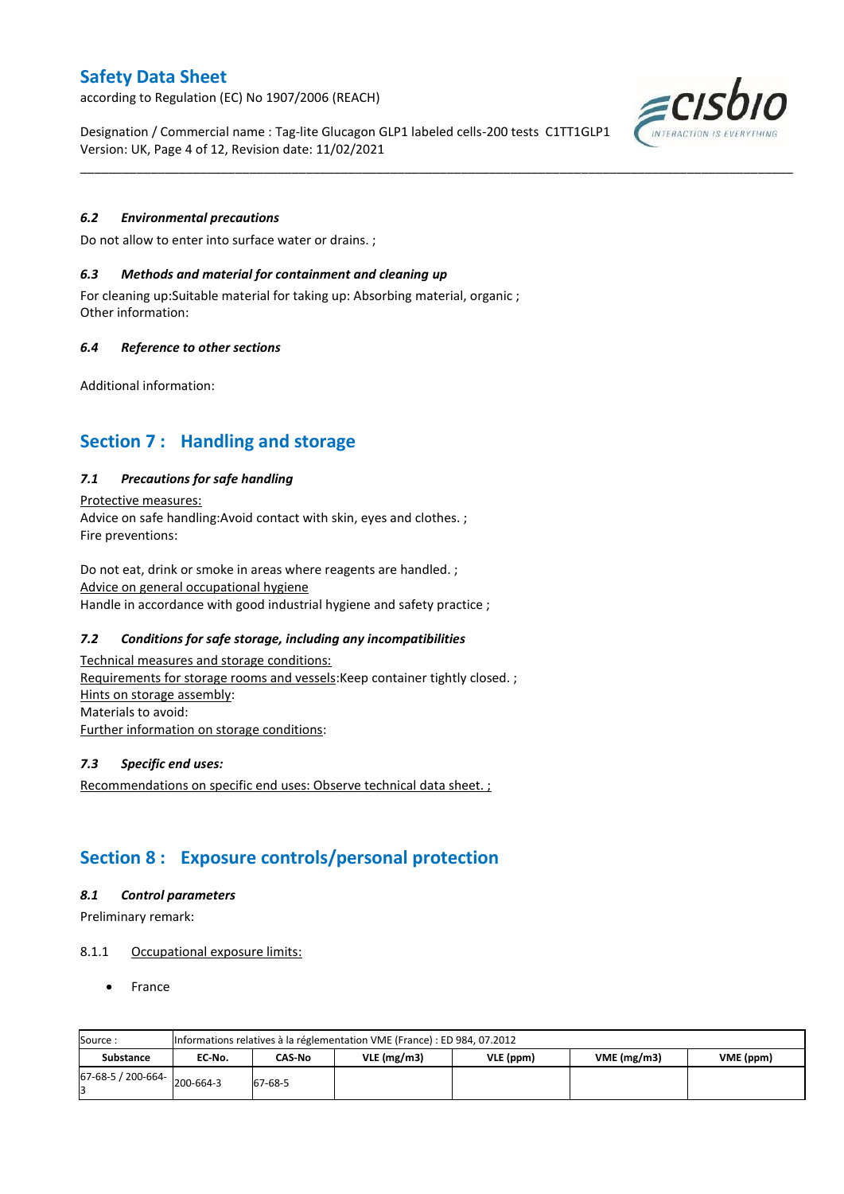according to Regulation (EC) No 1907/2006 (REACH)

Designation / Commercial name : Tag-lite Glucagon GLP1 labeled cells-200 tests C1TT1GLP1 Version: UK, Page 4 of 12, Revision date: 11/02/2021

\_\_\_\_\_\_\_\_\_\_\_\_\_\_\_\_\_\_\_\_\_\_\_\_\_\_\_\_\_\_\_\_\_\_\_\_\_\_\_\_\_\_\_\_\_\_\_\_\_\_\_\_\_\_\_\_\_\_\_\_\_\_\_\_\_\_\_\_\_\_\_\_\_\_\_\_\_\_\_\_\_\_\_\_\_\_\_\_\_\_\_\_\_\_\_\_\_\_\_\_\_

### *6.2 Environmental precautions*

Do not allow to enter into surface water or drains. ;

#### *6.3 Methods and material for containment and cleaning up*

For cleaning up:Suitable material for taking up: Absorbing material, organic ; Other information:

### *6.4 Reference to other sections*

Additional information:

## **Section 7 : Handling and storage**

### *7.1 Precautions for safe handling*

Protective measures: Advice on safe handling:Avoid contact with skin, eyes and clothes. ; Fire preventions:

Do not eat, drink or smoke in areas where reagents are handled. ; Advice on general occupational hygiene Handle in accordance with good industrial hygiene and safety practice ;

### *7.2 Conditions for safe storage, including any incompatibilities*

Technical measures and storage conditions: Requirements for storage rooms and vessels: Keep container tightly closed. ; Hints on storage assembly: Materials to avoid: Further information on storage conditions:

#### *7.3 Specific end uses:*

Recommendations on specific end uses: Observe technical data sheet. ;

## **Section 8 : Exposure controls/personal protection**

#### *8.1 Control parameters*

Preliminary remark:

#### 8.1.1 Occupational exposure limits:

France

| Source:            |           | Informations relatives à la réglementation VME (France) : ED 984, 07.2012 |               |           |            |           |  |  |  |  |  |  |  |
|--------------------|-----------|---------------------------------------------------------------------------|---------------|-----------|------------|-----------|--|--|--|--|--|--|--|
| <b>Substance</b>   | EC No.    | CAS-No                                                                    | $VLE$ (mg/m3) | VLE (ppm) | VME(mg/m3) | VME (ppm) |  |  |  |  |  |  |  |
| 67-68-5 / 200-664- | 200-664-3 | 67-68-5                                                                   |               |           |            |           |  |  |  |  |  |  |  |

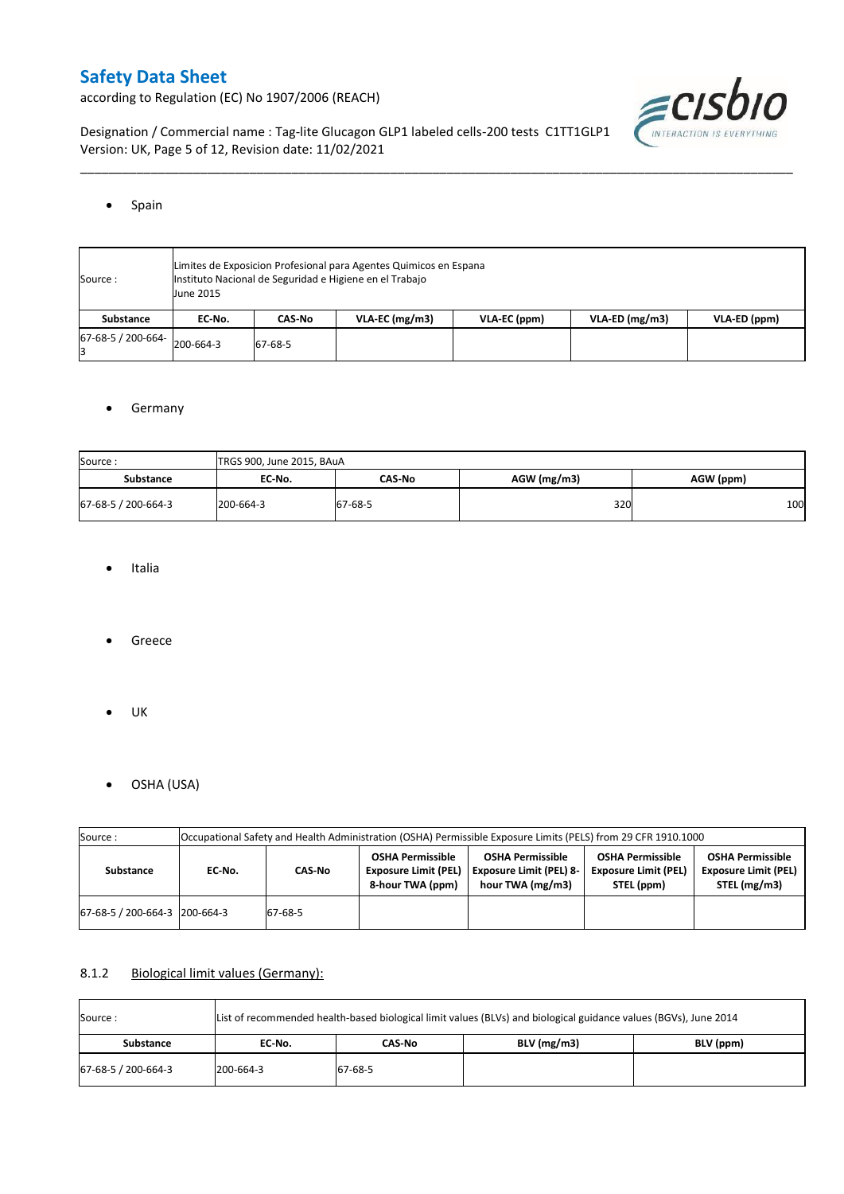according to Regulation (EC) No 1907/2006 (REACH)



Designation / Commercial name : Tag-lite Glucagon GLP1 labeled cells-200 tests C1TT1GLP1 Version: UK, Page 5 of 12, Revision date: 11/02/2021

#### • Spain

| Source:                      | June 2015 | Limites de Exposicion Profesional para Agentes Quimicos en Espana<br>Instituto Nacional de Seguridad e Higiene en el Trabajo<br>$VLA-EC$ (mg/m3)<br>$VLA-ED (mg/m3)$<br>VLA-ED (ppm)<br>VLA-EC (ppm)<br>CAS-No<br>EC No. |  |  |  |  |  |  |  |  |  |  |  |
|------------------------------|-----------|--------------------------------------------------------------------------------------------------------------------------------------------------------------------------------------------------------------------------|--|--|--|--|--|--|--|--|--|--|--|
| Substance                    |           |                                                                                                                                                                                                                          |  |  |  |  |  |  |  |  |  |  |  |
| 67-68-5 / 200-664- 200-664-3 |           | 67-68-5                                                                                                                                                                                                                  |  |  |  |  |  |  |  |  |  |  |  |

\_\_\_\_\_\_\_\_\_\_\_\_\_\_\_\_\_\_\_\_\_\_\_\_\_\_\_\_\_\_\_\_\_\_\_\_\_\_\_\_\_\_\_\_\_\_\_\_\_\_\_\_\_\_\_\_\_\_\_\_\_\_\_\_\_\_\_\_\_\_\_\_\_\_\_\_\_\_\_\_\_\_\_\_\_\_\_\_\_\_\_\_\_\_\_\_\_\_\_\_\_

### **•** Germany

| Source:             | TRGS 900, June 2015, BAuA |               |               |           |
|---------------------|---------------------------|---------------|---------------|-----------|
| <b>Substance</b>    | EC No.                    | <b>CAS-No</b> | $AGW$ (mg/m3) | AGW (ppm) |
| 67-68-5 / 200-664-3 | 200-664-3                 | 67-68-5       | 320           | 100       |

- Italia
- Greece
- $\bullet$  UK
- OSHA (USA)

| Source:                       |        |         |                                                                            | Occupational Safety and Health Administration (OSHA) Permissible Exposure Limits (PELS) from 29 CFR 1910.1000 |                                                                      |                                                                        |
|-------------------------------|--------|---------|----------------------------------------------------------------------------|---------------------------------------------------------------------------------------------------------------|----------------------------------------------------------------------|------------------------------------------------------------------------|
| Substance                     | EC-No. | CAS No  | <b>OSHA Permissible</b><br><b>Exposure Limit (PEL)</b><br>8-hour TWA (ppm) | <b>OSHA Permissible</b><br><b>Exposure Limit (PEL) 8-</b><br>hour TWA (mg/m3)                                 | <b>OSHA Permissible</b><br><b>Exposure Limit (PEL)</b><br>STEL (ppm) | <b>OSHA Permissible</b><br><b>Exposure Limit (PEL)</b><br>STEL (mg/m3) |
| 67-68-5 / 200-664-3 200-664-3 |        | 67-68-5 |                                                                            |                                                                                                               |                                                                      |                                                                        |

### 8.1.2 Biological limit values (Germany):

| Source:             | List of recommended health-based biological limit values (BLVs) and biological guidance values (BGVs), June 2014 |         |               |           |  |  |  |  |  |  |  |
|---------------------|------------------------------------------------------------------------------------------------------------------|---------|---------------|-----------|--|--|--|--|--|--|--|
| <b>Substance</b>    | EC No.                                                                                                           | CAS-No  | $BLV$ (mg/m3) | BLV (ppm) |  |  |  |  |  |  |  |
| 67-68-5 / 200-664-3 | 200-664-3                                                                                                        | 67-68-5 |               |           |  |  |  |  |  |  |  |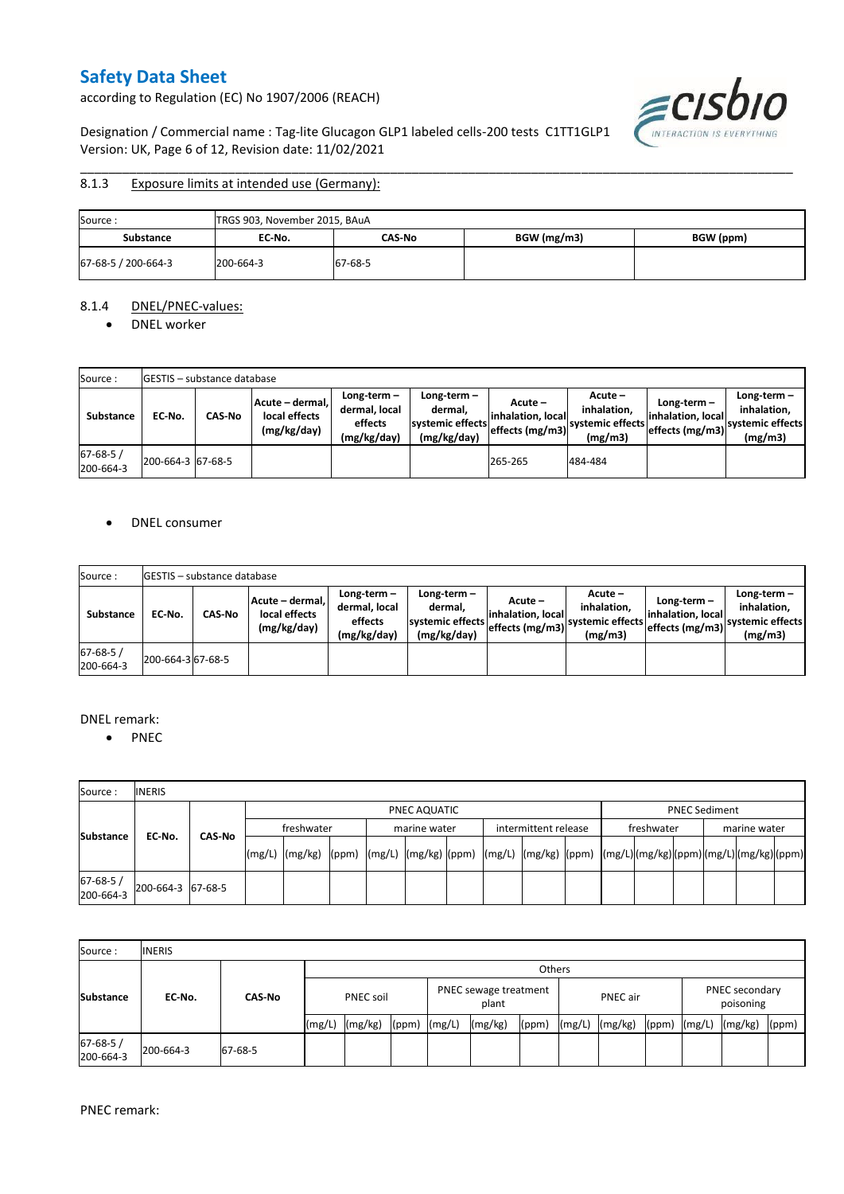according to Regulation (EC) No 1907/2006 (REACH)

ECISDIO

Designation / Commercial name : Tag-lite Glucagon GLP1 labeled cells-200 tests C1TT1GLP1 Version: UK, Page 6 of 12, Revision date: 11/02/2021

#### \_\_\_\_\_\_\_\_\_\_\_\_\_\_\_\_\_\_\_\_\_\_\_\_\_\_\_\_\_\_\_\_\_\_\_\_\_\_\_\_\_\_\_\_\_\_\_\_\_\_\_\_\_\_\_\_\_\_\_\_\_\_\_\_\_\_\_\_\_\_\_\_\_\_\_\_\_\_\_\_\_\_\_\_\_\_\_\_\_\_\_\_\_\_\_\_\_\_\_\_\_ 8.1.3 Exposure limits at intended use (Germany):

| Source:             | TRGS 903, November 2015, BAuA |         |             |           |  |  |  |  |  |  |
|---------------------|-------------------------------|---------|-------------|-----------|--|--|--|--|--|--|
| <b>Substance</b>    | EC-No.                        | CAS-No  | BGW (mg/m3) | BGW (ppm) |  |  |  |  |  |  |
| 67-68-5 / 200-664-3 | 200-664-3                     | 67-68-5 |             |           |  |  |  |  |  |  |

#### 8.1.4 DNEL/PNEC-values:

• DNEL worker

| Source:                    |                   | <b>IGESTIS - substance database</b> |                                                 |                                                       |                                                           |                                                  |                                                         |                                                        |                                                            |
|----------------------------|-------------------|-------------------------------------|-------------------------------------------------|-------------------------------------------------------|-----------------------------------------------------------|--------------------------------------------------|---------------------------------------------------------|--------------------------------------------------------|------------------------------------------------------------|
| Substance                  | EC No.            | <b>CAS-No</b>                       | Acute - dermal.<br>local effects<br>(mg/kg/day) | Long-term-<br>dermal, local<br>effects<br>(mg/kg/day) | Long-term –<br>dermal.<br>systemic effects<br>(mg/kg/day) | Acute –<br>linhalation. local<br>effects (mg/m3) | $Acute -$<br>inhalation.<br>systemic effects<br>(mg/m3) | $Long-term -$<br>linhalation. local<br>effects (mg/m3) | Long-term-<br>inhalation.<br>'Isystemic effects<br>(mg/m3) |
| $67 - 68 - 5$<br>200-664-3 | 200-664-3 67-68-5 |                                     |                                                 |                                                       |                                                           | 265-265                                          | 484-484                                                 |                                                        |                                                            |

### • DNEL consumer

| Source:                     |                   | <b>IGESTIS - substance database</b> |                                                 |                                                       |                                                             |                                                  |                                                       |                                                      |                                                             |
|-----------------------------|-------------------|-------------------------------------|-------------------------------------------------|-------------------------------------------------------|-------------------------------------------------------------|--------------------------------------------------|-------------------------------------------------------|------------------------------------------------------|-------------------------------------------------------------|
| <b>Substance</b>            | EC No.            | <b>CAS No</b>                       | Acute - dermal.<br>local effects<br>(mg/kg/day) | Long-term-<br>dermal, local<br>effects<br>(mg/kg/day) | Long-term $-$<br>dermal.<br>systemic effects<br>(mg/kg/day) | Acute –<br>linhalation. local<br>effects (mg/m3) | Acute -<br>inhalation.<br>systemic effects<br>(mg/m3) | Long-term –<br>linhalation. local<br>effects (mg/m3) | $Long-term -$<br>inhalation.<br>systemic effects<br>(mg/m3) |
| $67 - 68 - 5/$<br>200-664-3 | 200-664-3 67-68-5 |                                     |                                                 |                                                       |                                                             |                                                  |                                                       |                                                      |                                                             |

#### DNEL remark:

• PNEC

| Source:               | <b>INERIS</b>     |  |              |                                                                                                                                                                                                                                                                                                                                                                                                                                                                   |  |  |                                      |  |  |  |  |            |                      |  |              |  |  |
|-----------------------|-------------------|--|--------------|-------------------------------------------------------------------------------------------------------------------------------------------------------------------------------------------------------------------------------------------------------------------------------------------------------------------------------------------------------------------------------------------------------------------------------------------------------------------|--|--|--------------------------------------|--|--|--|--|------------|----------------------|--|--------------|--|--|
|                       |                   |  | PNEC AQUATIC |                                                                                                                                                                                                                                                                                                                                                                                                                                                                   |  |  |                                      |  |  |  |  |            | <b>PNEC Sediment</b> |  |              |  |  |
| CAS-No                |                   |  | freshwater   |                                                                                                                                                                                                                                                                                                                                                                                                                                                                   |  |  | intermittent release<br>marine water |  |  |  |  | freshwater |                      |  | marine water |  |  |
| <b>Substance</b>      | EC-No.            |  | (mg/L)       | $\lceil \frac{\text{mg}}{\text{mg}} \rceil \text{g} \rceil \text{g} \rceil \text{g} \rceil \text{g} \rceil \text{g} \rceil \text{g} \rceil \text{g} \rceil \text{g} \rceil \text{g} \rceil \text{g} \rceil \text{g} \rceil \text{g} \rceil \text{g} \rceil \text{g} \rceil \text{g} \rceil \text{g} \rceil \text{g} \rceil \text{g} \rceil \text{g} \rceil \text{g} \rceil \text{g} \rceil \text{g} \rceil \text{g} \rceil \text{g} \rceil \text{g} \rceil \text$ |  |  |                                      |  |  |  |  |            |                      |  |              |  |  |
| 67-68-5/<br>200-664-3 | 200-664-3 67-68-5 |  |              |                                                                                                                                                                                                                                                                                                                                                                                                                                                                   |  |  |                                      |  |  |  |  |            |                      |  |              |  |  |

| Source:                     | <b>INERIS</b> |               |                  |         |                                |        |         |                 |        |         |                             |        |         |       |
|-----------------------------|---------------|---------------|------------------|---------|--------------------------------|--------|---------|-----------------|--------|---------|-----------------------------|--------|---------|-------|
|                             |               |               | <b>Others</b>    |         |                                |        |         |                 |        |         |                             |        |         |       |
| <b>Substance</b>            | EC No.        | <b>CAS-No</b> | <b>PNEC soil</b> |         | PNEC sewage treatment<br>plant |        |         | <b>PNEC</b> air |        |         | PNEC secondary<br>poisoning |        |         |       |
|                             |               |               | (mg/L)           | (mg/kg) | (ppm)                          | (mg/L) | (mg/kg) | (ppm)           | (mg/L) | (mg/kg) | (ppm)                       | (mg/L) | (mg/kg) | (ppm) |
| $67 - 68 - 5/$<br>200-664-3 | 200-664-3     | 67-68-5       |                  |         |                                |        |         |                 |        |         |                             |        |         |       |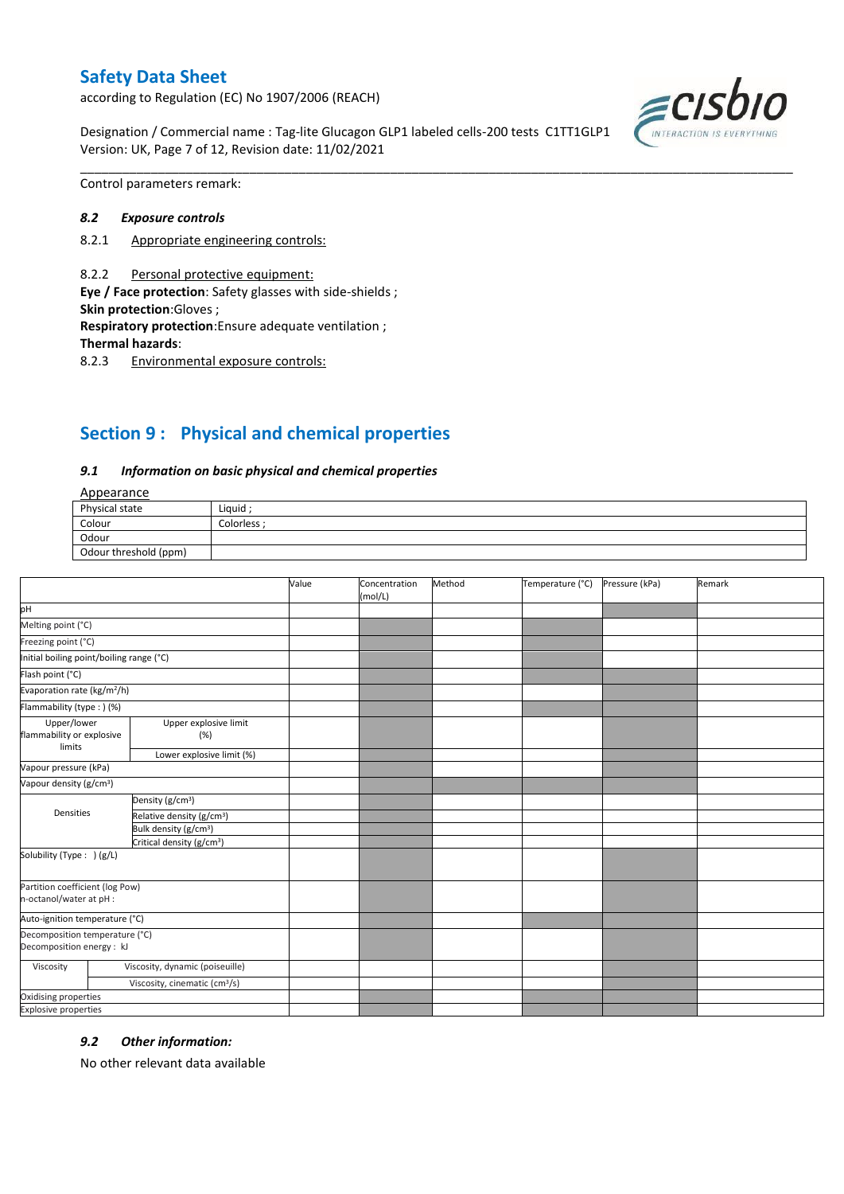according to Regulation (EC) No 1907/2006 (REACH)

Designation / Commercial name : Tag-lite Glucagon GLP1 labeled cells-200 tests C1TT1GLP1 Version: UK, Page 7 of 12, Revision date: 11/02/2021



Control parameters remark:

#### *8.2 Exposure controls*

- 8.2.1 Appropriate engineering controls:
- 8.2.2 Personal protective equipment:

**Eye / Face protection**: Safety glasses with side-shields ; **Skin protection**:Gloves ;

**Respiratory protection**:Ensure adequate ventilation ;

**Thermal hazards**:

8.2.3 Environmental exposure controls:

# **Section 9 : Physical and chemical properties**

#### *9.1 Information on basic physical and chemical properties*

### **Annearance**

| $-100$                |             |  |
|-----------------------|-------------|--|
| Physical state        | Liquid      |  |
| Colour                | Colorless : |  |
| Odour                 |             |  |
| Odour threshold (ppm) |             |  |

\_\_\_\_\_\_\_\_\_\_\_\_\_\_\_\_\_\_\_\_\_\_\_\_\_\_\_\_\_\_\_\_\_\_\_\_\_\_\_\_\_\_\_\_\_\_\_\_\_\_\_\_\_\_\_\_\_\_\_\_\_\_\_\_\_\_\_\_\_\_\_\_\_\_\_\_\_\_\_\_\_\_\_\_\_\_\_\_\_\_\_\_\_\_\_\_\_\_\_\_\_

|                                                             |                                           | Value | Concentration<br>(mol/L) | Method | Temperature (°C) | Pressure (kPa) | Remark |
|-------------------------------------------------------------|-------------------------------------------|-------|--------------------------|--------|------------------|----------------|--------|
| pH                                                          |                                           |       |                          |        |                  |                |        |
| Melting point (°C)                                          |                                           |       |                          |        |                  |                |        |
| Freezing point (°C)                                         |                                           |       |                          |        |                  |                |        |
| Initial boiling point/boiling range (°C)                    |                                           |       |                          |        |                  |                |        |
| Flash point (°C)                                            |                                           |       |                          |        |                  |                |        |
| Evaporation rate (kg/m <sup>2</sup> /h)                     |                                           |       |                          |        |                  |                |        |
| Flammability (type: ) (%)                                   |                                           |       |                          |        |                  |                |        |
| Upper/lower<br>flammability or explosive                    | Upper explosive limit<br>(%)              |       |                          |        |                  |                |        |
| limits                                                      | Lower explosive limit (%)                 |       |                          |        |                  |                |        |
| Vapour pressure (kPa)                                       |                                           |       |                          |        |                  |                |        |
| Vapour density (g/cm <sup>3</sup> )                         |                                           |       |                          |        |                  |                |        |
| Densities                                                   | Density (g/cm <sup>3</sup> )              |       |                          |        |                  |                |        |
|                                                             | Relative density (g/cm <sup>3</sup> )     |       |                          |        |                  |                |        |
|                                                             | Bulk density (g/cm <sup>3</sup> )         |       |                          |        |                  |                |        |
| Critical density (g/cm <sup>3</sup> )                       |                                           |       |                          |        |                  |                |        |
| Solubility (Type: ) (g/L)                                   |                                           |       |                          |        |                  |                |        |
| Partition coefficient (log Pow)<br>n-octanol/water at pH :  |                                           |       |                          |        |                  |                |        |
| Auto-ignition temperature (°C)                              |                                           |       |                          |        |                  |                |        |
| Decomposition temperature (°C)<br>Decomposition energy : kJ |                                           |       |                          |        |                  |                |        |
| Viscosity                                                   | Viscosity, dynamic (poiseuille)           |       |                          |        |                  |                |        |
|                                                             | Viscosity, cinematic (cm <sup>3</sup> /s) |       |                          |        |                  |                |        |
| Oxidising properties                                        |                                           |       |                          |        |                  |                |        |
| <b>Explosive properties</b>                                 |                                           |       |                          |        |                  |                |        |

#### *9.2 Other information:*

No other relevant data available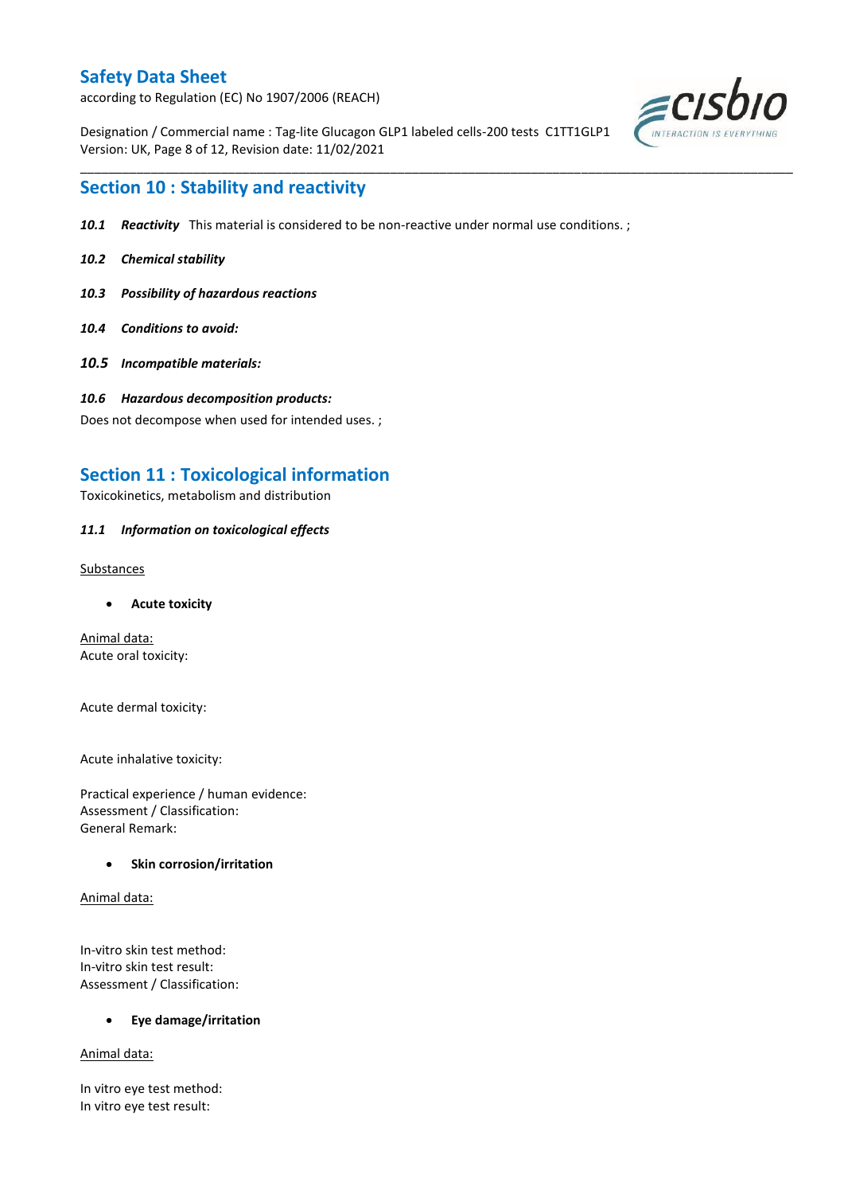according to Regulation (EC) No 1907/2006 (REACH)

Designation / Commercial name : Tag-lite Glucagon GLP1 labeled cells-200 tests C1TT1GLP1 Version: UK, Page 8 of 12, Revision date: 11/02/2021



## **Section 10 : Stability and reactivity**

*10.1 Reactivity* This material is considered to be non-reactive under normal use conditions. ;

\_\_\_\_\_\_\_\_\_\_\_\_\_\_\_\_\_\_\_\_\_\_\_\_\_\_\_\_\_\_\_\_\_\_\_\_\_\_\_\_\_\_\_\_\_\_\_\_\_\_\_\_\_\_\_\_\_\_\_\_\_\_\_\_\_\_\_\_\_\_\_\_\_\_\_\_\_\_\_\_\_\_\_\_\_\_\_\_\_\_\_\_\_\_\_\_\_\_\_\_\_

- *10.2 Chemical stability*
- *10.3 Possibility of hazardous reactions*
- *10.4 Conditions to avoid:*
- *10.5 Incompatible materials:*
- *10.6 Hazardous decomposition products:*

Does not decompose when used for intended uses. ;

## **Section 11 : Toxicological information**

Toxicokinetics, metabolism and distribution

### *11.1 Information on toxicological effects*

Substances

**Acute toxicity**

Animal data: Acute oral toxicity:

Acute dermal toxicity:

Acute inhalative toxicity:

Practical experience / human evidence: Assessment / Classification: General Remark:

### **•** Skin corrosion/irritation

Animal data:

In-vitro skin test method: In-vitro skin test result: Assessment / Classification:

**Eye damage/irritation**

Animal data:

In vitro eye test method: In vitro eye test result: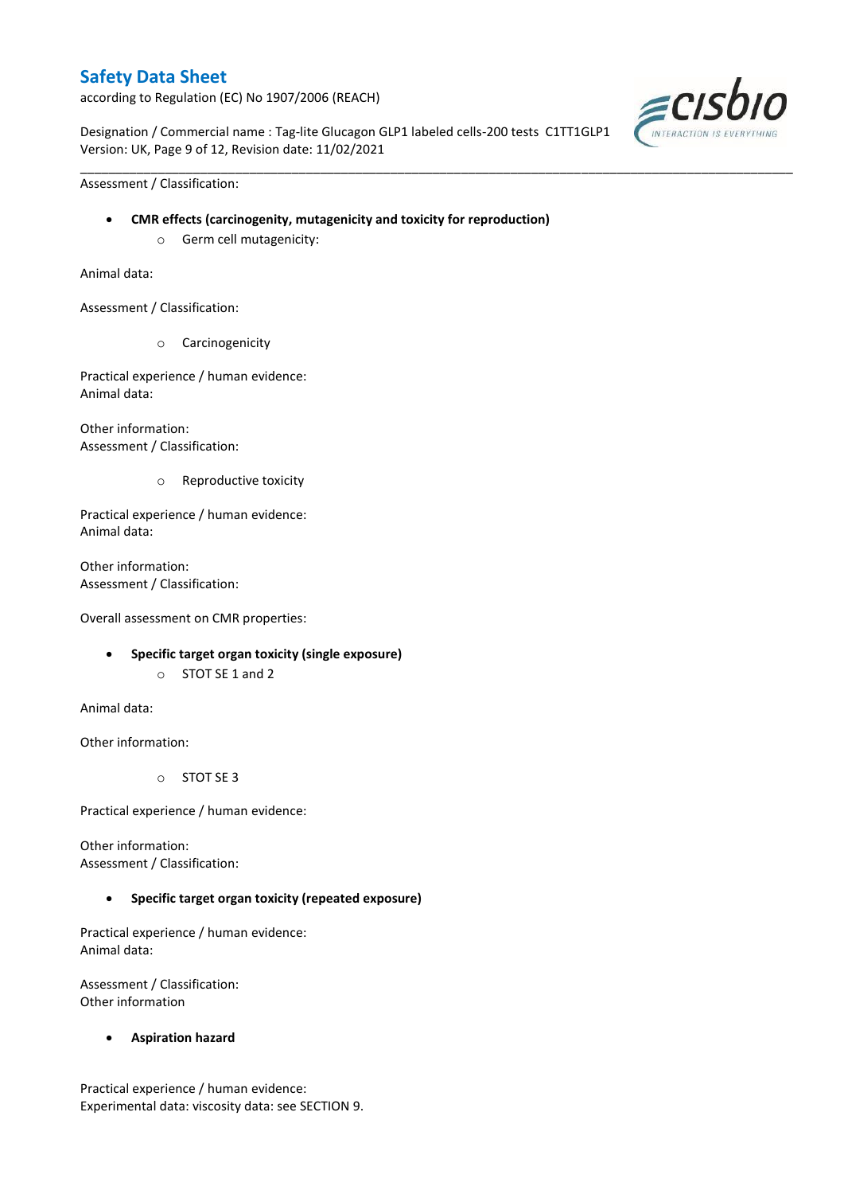according to Regulation (EC) No 1907/2006 (REACH)

Designation / Commercial name : Tag-lite Glucagon GLP1 labeled cells-200 tests C1TT1GLP1 Version: UK, Page 9 of 12, Revision date: 11/02/2021

\_\_\_\_\_\_\_\_\_\_\_\_\_\_\_\_\_\_\_\_\_\_\_\_\_\_\_\_\_\_\_\_\_\_\_\_\_\_\_\_\_\_\_\_\_\_\_\_\_\_\_\_\_\_\_\_\_\_\_\_\_\_\_\_\_\_\_\_\_\_\_\_\_\_\_\_\_\_\_\_\_\_\_\_\_\_\_\_\_\_\_\_\_\_\_\_\_\_\_\_\_



Assessment / Classification:

- **CMR effects (carcinogenity, mutagenicity and toxicity for reproduction)**
	- o Germ cell mutagenicity:

Animal data:

Assessment / Classification:

o Carcinogenicity

Practical experience / human evidence: Animal data:

Other information: Assessment / Classification:

o Reproductive toxicity

Practical experience / human evidence: Animal data:

Other information: Assessment / Classification:

Overall assessment on CMR properties:

- **Specific target organ toxicity (single exposure)**
	- o STOT SE 1 and 2

Animal data:

Other information:

o STOT SE 3

Practical experience / human evidence:

Other information: Assessment / Classification:

### **Specific target organ toxicity (repeated exposure)**

Practical experience / human evidence: Animal data:

Assessment / Classification: Other information

**Aspiration hazard**

Practical experience / human evidence: Experimental data: viscosity data: see SECTION 9.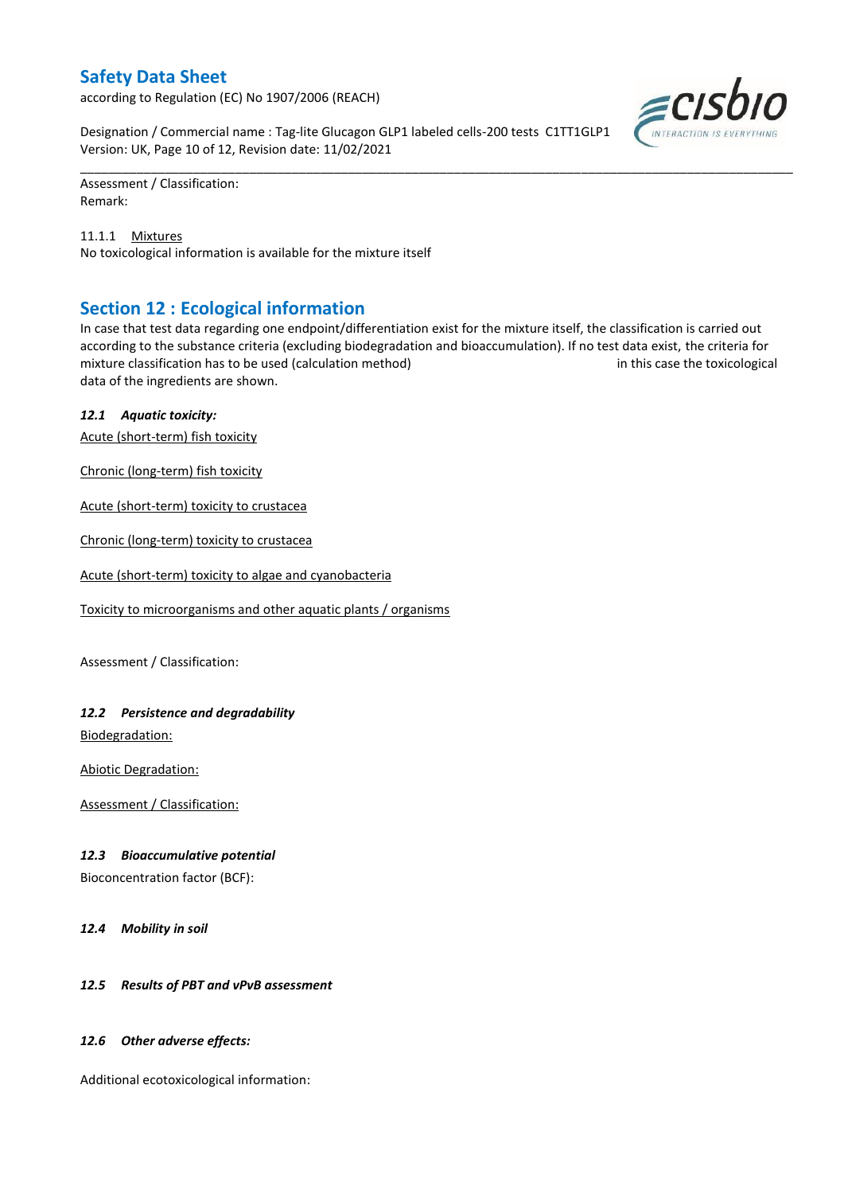according to Regulation (EC) No 1907/2006 (REACH)

Designation / Commercial name : Tag-lite Glucagon GLP1 labeled cells-200 tests C1TT1GLP1 Version: UK, Page 10 of 12, Revision date: 11/02/2021

Assessment / Classification: Remark:

11.1.1 Mixtures No toxicological information is available for the mixture itself

## **Section 12 : Ecological information**

In case that test data regarding one endpoint/differentiation exist for the mixture itself, the classification is carried out according to the substance criteria (excluding biodegradation and bioaccumulation). If no test data exist, the criteria for mixture classification has to be used (calculation method) in this case the toxicological data of the ingredients are shown.

\_\_\_\_\_\_\_\_\_\_\_\_\_\_\_\_\_\_\_\_\_\_\_\_\_\_\_\_\_\_\_\_\_\_\_\_\_\_\_\_\_\_\_\_\_\_\_\_\_\_\_\_\_\_\_\_\_\_\_\_\_\_\_\_\_\_\_\_\_\_\_\_\_\_\_\_\_\_\_\_\_\_\_\_\_\_\_\_\_\_\_\_\_\_\_\_\_\_\_\_\_

### *12.1 Aquatic toxicity:*

Acute (short-term) fish toxicity

Chronic (long-term) fish toxicity

Acute (short-term) toxicity to crustacea

Chronic (long-term) toxicity to crustacea

Acute (short-term) toxicity to algae and cyanobacteria

Toxicity to microorganisms and other aquatic plants / organisms

Assessment / Classification:

### *12.2 Persistence and degradability*

Biodegradation:

Abiotic Degradation:

Assessment / Classification:

### *12.3 Bioaccumulative potential*

Bioconcentration factor (BCF):

*12.4 Mobility in soil*

### *12.5 Results of PBT and vPvB assessment*

### *12.6 Other adverse effects:*

Additional ecotoxicological information:

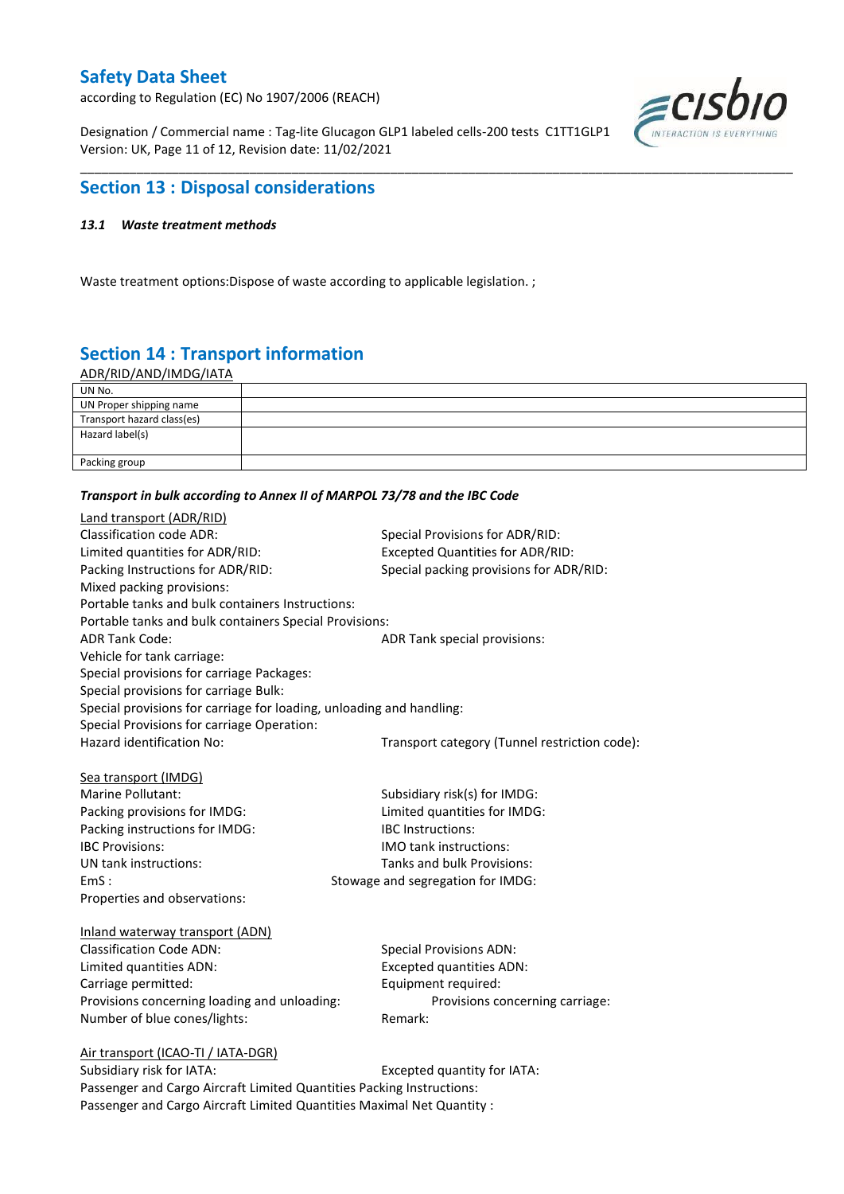according to Regulation (EC) No 1907/2006 (REACH)

Designation / Commercial name : Tag-lite Glucagon GLP1 labeled cells-200 tests C1TT1GLP1 Version: UK, Page 11 of 12, Revision date: 11/02/2021



## **Section 13 : Disposal considerations**

### *13.1 Waste treatment methods*

Waste treatment options:Dispose of waste according to applicable legislation. ;

# **Section 14 : Transport information**

ADR/RID/AND/IMDG/IATA

| UN No.                     |  |
|----------------------------|--|
| UN Proper shipping name    |  |
| Transport hazard class(es) |  |
| Hazard label(s)            |  |
|                            |  |
| Packing group              |  |

\_\_\_\_\_\_\_\_\_\_\_\_\_\_\_\_\_\_\_\_\_\_\_\_\_\_\_\_\_\_\_\_\_\_\_\_\_\_\_\_\_\_\_\_\_\_\_\_\_\_\_\_\_\_\_\_\_\_\_\_\_\_\_\_\_\_\_\_\_\_\_\_\_\_\_\_\_\_\_\_\_\_\_\_\_\_\_\_\_\_\_\_\_\_\_\_\_\_\_\_\_

#### *Transport in bulk according to Annex II of MARPOL 73/78 and the IBC Code*

| Land transport (ADR/RID)                                             |                                               |  |  |  |
|----------------------------------------------------------------------|-----------------------------------------------|--|--|--|
| <b>Classification code ADR:</b>                                      | Special Provisions for ADR/RID:               |  |  |  |
| Limited quantities for ADR/RID:                                      | <b>Excepted Quantities for ADR/RID:</b>       |  |  |  |
| Packing Instructions for ADR/RID:                                    | Special packing provisions for ADR/RID:       |  |  |  |
| Mixed packing provisions:                                            |                                               |  |  |  |
| Portable tanks and bulk containers Instructions:                     |                                               |  |  |  |
| Portable tanks and bulk containers Special Provisions:               |                                               |  |  |  |
| <b>ADR Tank Code:</b>                                                | ADR Tank special provisions:                  |  |  |  |
| Vehicle for tank carriage:                                           |                                               |  |  |  |
| Special provisions for carriage Packages:                            |                                               |  |  |  |
| Special provisions for carriage Bulk:                                |                                               |  |  |  |
| Special provisions for carriage for loading, unloading and handling: |                                               |  |  |  |
| Special Provisions for carriage Operation:                           |                                               |  |  |  |
| Hazard identification No:                                            | Transport category (Tunnel restriction code): |  |  |  |
|                                                                      |                                               |  |  |  |
| Sea transport (IMDG)                                                 |                                               |  |  |  |
| Marine Pollutant:                                                    | Subsidiary risk(s) for IMDG:                  |  |  |  |
| Packing provisions for IMDG:                                         | Limited quantities for IMDG:                  |  |  |  |
| Packing instructions for IMDG:                                       | IBC Instructions:                             |  |  |  |
| <b>IBC Provisions:</b>                                               | <b>IMO</b> tank instructions:                 |  |  |  |
| UN tank instructions:                                                | Tanks and bulk Provisions:                    |  |  |  |
| EmS:                                                                 | Stowage and segregation for IMDG:             |  |  |  |
| Properties and observations:                                         |                                               |  |  |  |
|                                                                      |                                               |  |  |  |
| Inland waterway transport (ADN)<br><b>Classification Code ADN:</b>   |                                               |  |  |  |
|                                                                      | <b>Special Provisions ADN:</b>                |  |  |  |
| Limited quantities ADN:                                              | <b>Excepted quantities ADN:</b>               |  |  |  |
| Carriage permitted:                                                  | Equipment required:                           |  |  |  |
| Provisions concerning loading and unloading:                         | Provisions concerning carriage:               |  |  |  |
| Number of blue cones/lights:                                         | Remark:                                       |  |  |  |
| Air transport (ICAO-TI / IATA-DGR)                                   |                                               |  |  |  |
| Subcidiary rick for IATA.                                            | Evranted quantity for IATA.                   |  |  |  |

Subsidiary risk for IATA: Excepted quantity for IATA: Passenger and Cargo Aircraft Limited Quantities Packing Instructions: Passenger and Cargo Aircraft Limited Quantities Maximal Net Quantity :